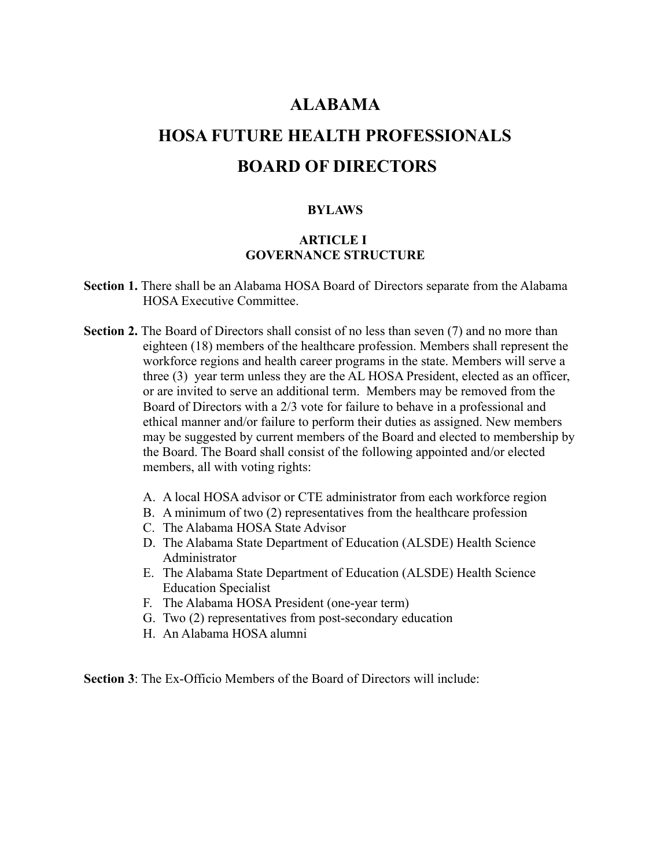# **ALABAMA**

# **HOSA FUTURE HEALTH PROFESSIONALS BOARD OF DIRECTORS**

#### **BYLAWS**

## **ARTICLE I GOVERNANCE STRUCTURE**

- **Section 1.** There shall be an Alabama HOSA Board of Directors separate from the Alabama HOSA Executive Committee.
- **Section 2.** The Board of Directors shall consist of no less than seven (7) and no more than eighteen (18) members of the healthcare profession. Members shall represent the workforce regions and health career programs in the state. Members will serve a three (3) year term unless they are the AL HOSA President, elected as an officer, or are invited to serve an additional term. Members may be removed from the Board of Directors with a 2/3 vote for failure to behave in a professional and ethical manner and/or failure to perform their duties as assigned. New members may be suggested by current members of the Board and elected to membership by the Board. The Board shall consist of the following appointed and/or elected members, all with voting rights:
	- A. A local HOSA advisor or CTE administrator from each workforce region
	- B. A minimum of two (2) representatives from the healthcare profession
	- C. The Alabama HOSA State Advisor
	- D. The Alabama State Department of Education (ALSDE) Health Science Administrator
	- E. The Alabama State Department of Education (ALSDE) Health Science Education Specialist
	- F. The Alabama HOSA President (one-year term)
	- G. Two (2) representatives from post-secondary education
	- H. An Alabama HOSA alumni

**Section 3**: The Ex-Officio Members of the Board of Directors will include: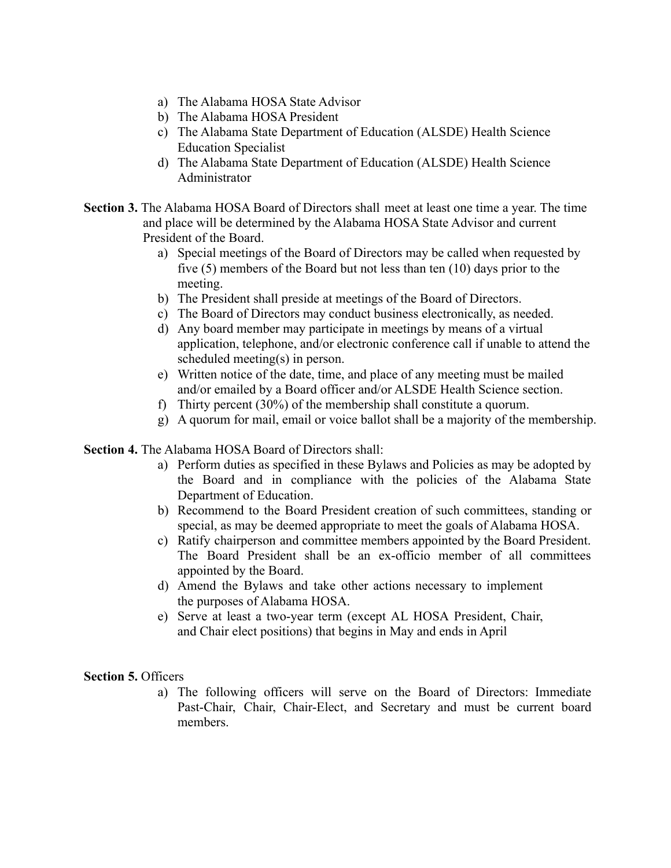- a) The Alabama HOSA State Advisor
- b) The Alabama HOSA President
- c) The Alabama State Department of Education (ALSDE) Health Science Education Specialist
- d) The Alabama State Department of Education (ALSDE) Health Science Administrator
- **Section 3.** The Alabama HOSA Board of Directors shall meet at least one time a year. The time and place will be determined by the Alabama HOSA State Advisor and current President of the Board.
	- a) Special meetings of the Board of Directors may be called when requested by five (5) members of the Board but not less than ten (10) days prior to the meeting.
	- b) The President shall preside at meetings of the Board of Directors.
	- c) The Board of Directors may conduct business electronically, as needed.
	- d) Any board member may participate in meetings by means of a virtual application, telephone, and/or electronic conference call if unable to attend the scheduled meeting(s) in person.
	- e) Written notice of the date, time, and place of any meeting must be mailed and/or emailed by a Board officer and/or ALSDE Health Science section.
	- f) Thirty percent (30%) of the membership shall constitute a quorum.
	- g) A quorum for mail, email or voice ballot shall be a majority of the membership.

**Section 4.** The Alabama HOSA Board of Directors shall:

- a) Perform duties as specified in these Bylaws and Policies as may be adopted by the Board and in compliance with the policies of the Alabama State Department of Education.
- b) Recommend to the Board President creation of such committees, standing or special, as may be deemed appropriate to meet the goals of Alabama HOSA.
- c) Ratify chairperson and committee members appointed by the Board President. The Board President shall be an ex-officio member of all committees appointed by the Board.
- d) Amend the Bylaws and take other actions necessary to implement the purposes of Alabama HOSA.
- e) Serve at least a two-year term (except AL HOSA President, Chair, and Chair elect positions) that begins in May and ends in April

**Section 5.** Officers

a) The following officers will serve on the Board of Directors: Immediate Past-Chair, Chair, Chair-Elect, and Secretary and must be current board members.